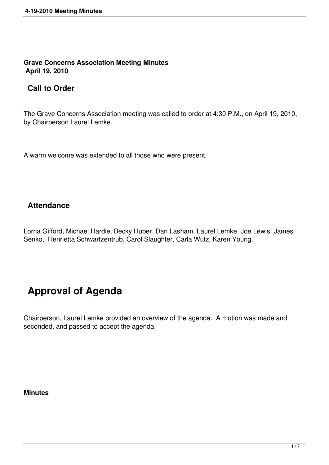**Grave Concerns Association Meeting Minutes April 19, 2010**

## **Call to Order**

The Grave Concerns Association meeting was called to order at 4:30 P.M., on April 19, 2010, by Chairperson Laurel Lemke.

A warm welcome was extended to all those who were present.

## **Attendance**

Lorna Gifford, Michael Hardie, Becky Huber, Dan Lasham, Laurel Lemke, Joe Lewis, James Senko, Henrietta Schwartzentrub, Carol Slaughter, Carla Wutz, Karen Young.

# **Approval of Agenda**

Chairperson, Laurel Lemke provided an overview of the agenda. A motion was made and seconded, and passed to accept the agenda.

#### **Minutes**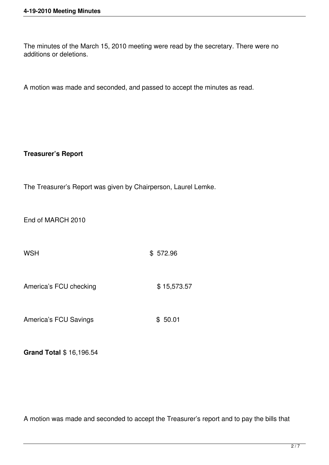The minutes of the March 15, 2010 meeting were read by the secretary. There were no additions or deletions.

A motion was made and seconded, and passed to accept the minutes as read.

## **Treasurer's Report**

The Treasurer's Report was given by Chairperson, Laurel Lemke.

End of MARCH 2010

WSH 3572.96

America's FCU checking \$15,573.57

America's FCU Savings \$ 50.01

**Grand Total** \$ 16,196.54

A motion was made and seconded to accept the Treasurer's report and to pay the bills that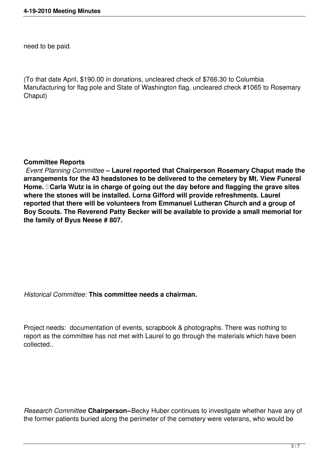need to be paid.

(To that date April, \$190.00 in donations, uncleared check of \$766.30 to Columbia Manufacturing for flag pole and State of Washington flag, uncleared check #1065 to Rosemary Chaput)

## **Committee Reports**

 *Event Planning Committee* **– Laurel reported that Chairperson Rosemary Chaput made the arrangements for the 43 headstones to be delivered to the cemetery by Mt. View Funeral Home. Carla Wutz is in charge of going out the day before and flagging the grave sites where the stones will be installed. Lorna Gifford will provide refreshments. Laurel reported that there will be volunteers from Emmanuel Lutheran Church and a group of Boy Scouts. The Reverend Patty Becker will be available to provide a small memorial for the family of Byus Neese # 807.** 

## *Historical Committee:* **This committee needs a chairman.**

Project needs: documentation of events, scrapbook & photographs. There was nothing to report as the committee has not met with Laurel to go through the materials which have been collected..

*Research Committee* **Chairperson–**Becky Huber continues to investigate whether have any of the former patients buried along the perimeter of the cemetery were veterans, who would be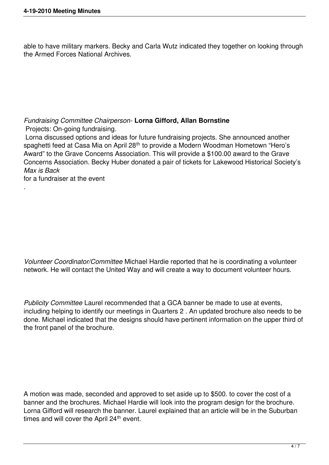able to have military markers. Becky and Carla Wutz indicated they together on looking through the Armed Forces National Archives.

*Fundraising Committee Chairperson-* **Lorna Gifford, Allan Bornstine**  Projects: On-going fundraising. Lorna discussed options and ideas for future fundraising projects. She announced another spaghetti feed at Casa Mia on April 28<sup>th</sup> to provide a Modern Woodman Hometown "Hero's Award" to the Grave Concerns Association. This will provide a \$100.00 award to the Grave

Concerns Association. Becky Huber donated a pair of tickets for Lakewood Historical Society's *Max is Back*

for a fundraiser at the event

*.*

*Volunteer Coordinator/Committee* Michael Hardie reported that he is coordinating a volunteer network. He will contact the United Way and will create a way to document volunteer hours.

*Publicity Committee* Laurel recommended that a GCA banner be made to use at events, including helping to identify our meetings in Quarters 2 . An updated brochure also needs to be done. Michael indicated that the designs should have pertinent information on the upper third of the front panel of the brochure.

A motion was made, seconded and approved to set aside up to \$500. to cover the cost of a banner and the brochures. Michael Hardie will look into the program design for the brochure. Lorna Gifford will research the banner. Laurel explained that an article will be in the Suburban times and will cover the April 24<sup>th</sup> event.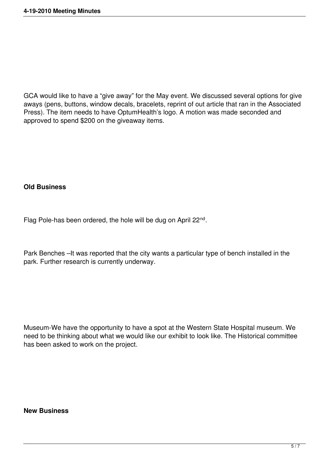GCA would like to have a "give away" for the May event. We discussed several options for give aways (pens, buttons, window decals, bracelets, reprint of out article that ran in the Associated Press). The item needs to have OptumHealth's logo. A motion was made seconded and approved to spend \$200 on the giveaway items.

#### **Old Business**

Flag Pole-has been ordered, the hole will be dug on April 22<sup>nd</sup>.

Park Benches –It was reported that the city wants a particular type of bench installed in the park. Further research is currently underway.

Museum-We have the opportunity to have a spot at the Western State Hospital museum. We need to be thinking about what we would like our exhibit to look like. The Historical committee has been asked to work on the project.

#### **New Business**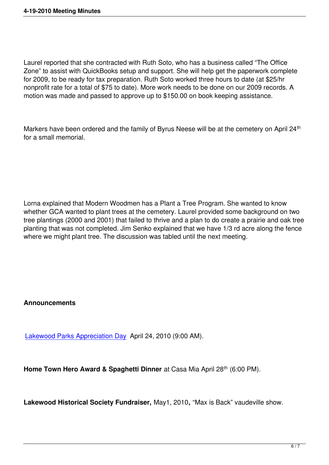Laurel reported that she contracted with Ruth Soto, who has a business called "The Office Zone" to assist with QuickBooks setup and support. She will help get the paperwork complete for 2009, to be ready for tax preparation. Ruth Soto worked three hours to date (at \$25/hr nonprofit rate for a total of \$75 to date). More work needs to be done on our 2009 records. A motion was made and passed to approve up to \$150.00 on book keeping assistance.

Markers have been ordered and the family of Byrus Neese will be at the cemetery on April 24<sup>th</sup> for a small memorial.

Lorna explained that Modern Woodmen has a Plant a Tree Program. She wanted to know whether GCA wanted to plant trees at the cemetery. Laurel provided some background on two tree plantings (2000 and 2001) that failed to thrive and a plan to do create a prairie and oak tree planting that was not completed. Jim Senko explained that we have 1/3 rd acre along the fence where we might plant tree. The discussion was tabled until the next meeting.

## **Announcements**

Lakewood Parks Appreciation Day April 24, 2010 (9:00 AM).

**[Home Town Hero Award & Spagh](http://www.wshgraveconcerns.org/component/jcalpro/view/26/12.html)etti Dinner** at Casa Mia April 28<sup>th</sup> (6:00 PM).

**Lakewood Historical Society Fundraiser,** May1, 2010**,** "Max is Back" vaudeville show.